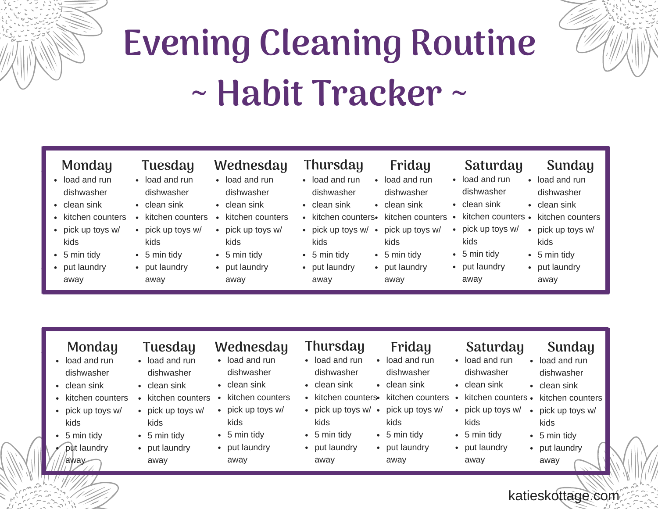

# **Evening Cleaning Routine ~ Habit Tracker ~**

- load and run dishwasher
- clean sink
- kitchen counters
- pick up toys w/ kids
- 5 min tidy
- put laundry away
- load and run
- dishwasher
- clean sink
- kitchen counters
- pick up toys w/ kids
- 5 min tidy
- put laundry away
- load and run
- dishwasher clean sink
- kitchen counters
- pick up toys w/ kids
- 
- 5 min tidy
- put laundry away
- **Monday Tuesday Wednesday Thursday Friday Saturday Sunday**
	- load and run dishwasher
	- clean sink
	- $\bullet$  kitchen counters $\bullet$ • pick up toys w/ •
	- kids 5 min tidy
	- put laundry

away

load and run dishwasher clean sink

kids • 5 min tidy • put laundry away

### load and run

- dishwasher
- clean sink
- kitchen counters kitchen counters •
- pick up toys w/ pick up toys w/ kids
	- 5 min tidy
	- put laundry away

- load and run dishwasher
- clean sink
- kitchen counters
- pick up toys w/ kids
- 5 min tidy
- put laundry away

katieskottage.com

- 
- load and run dishwasher
- clean sink
- kitchen counters
- pick up toys w/ kids
- 5 min tidy
- put laundry away

- load and run dishwasher
- clean sink
- kitchen counters
- pick up toys w/ kids
- 5 min tidy
- put laundry away

### **Monday Tuesday Wednesday Thursday Friday Saturday Sunday**

- load and run dishwasher
- clean sink
- kitchen counters
	- pick up toys w/ kids
- 5 min tidy
- put laundry away
- 
- load and run dishwasher
- clean sink
- kitchen counters•
- $\bullet$  pick up toys w/  $\bullet$ kids
- 5 min tidy
- put laundry away

load and run dishwasher clean sink

kids • 5 min tidy • put laundry away

- load and run dishwasher
- clean sink
- kitchen counters  $\bullet$
- pick up toys w/
	- 5 min tidy
	- put laundry

load and run dishwasher

> kids • 5 min tidy • put laundry away

- clean sink
- kitchen counters kitchen counters
- 
- 
- 
- 
- 
- 
- kids
	-
	-
- 
- -
	- away
- pick up toys w/ pick up toys w/
	-
	-
	-